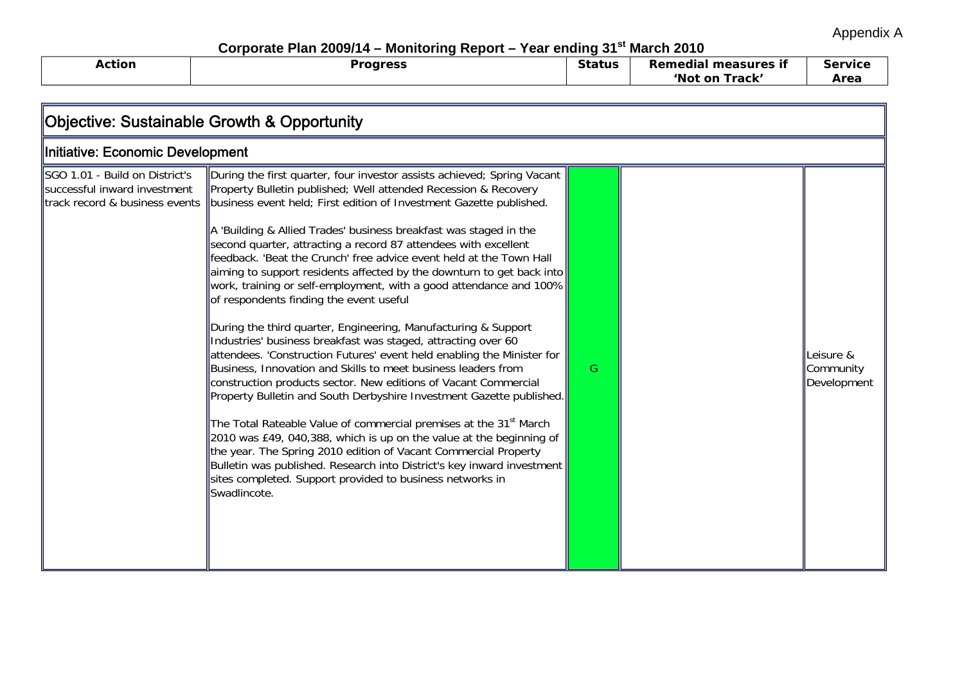Appendix A

Corporate Plan 2009/14 – Monitoring Report – Year ending 31<sup>st</sup> March 2010

| --------------- |                        |               |                         |                |
|-----------------|------------------------|---------------|-------------------------|----------------|
| Action          | raaracc<br>oar<br>- 53 | <b>Status</b> | Remedia!<br>measures if | <b>Service</b> |
|                 |                        |               | 'Not on<br>Track'       | Area           |

| Objective: Sustainable Growth & Opportunity                                                      |                                                                                                                                                                                                                                                                                                                                                                                                                                                                                                                                                                                                                                                                                                                                                                                                                                                                                                                                                                                                                                                                                                                                                                                                                                                                                                                                                                                                                                       |    |  |                                       |
|--------------------------------------------------------------------------------------------------|---------------------------------------------------------------------------------------------------------------------------------------------------------------------------------------------------------------------------------------------------------------------------------------------------------------------------------------------------------------------------------------------------------------------------------------------------------------------------------------------------------------------------------------------------------------------------------------------------------------------------------------------------------------------------------------------------------------------------------------------------------------------------------------------------------------------------------------------------------------------------------------------------------------------------------------------------------------------------------------------------------------------------------------------------------------------------------------------------------------------------------------------------------------------------------------------------------------------------------------------------------------------------------------------------------------------------------------------------------------------------------------------------------------------------------------|----|--|---------------------------------------|
| Initiative: Economic Development                                                                 |                                                                                                                                                                                                                                                                                                                                                                                                                                                                                                                                                                                                                                                                                                                                                                                                                                                                                                                                                                                                                                                                                                                                                                                                                                                                                                                                                                                                                                       |    |  |                                       |
| SGO 1.01 - Build on District's<br>successful inward investment<br>track record & business events | During the first quarter, four investor assists achieved; Spring Vacant<br>Property Bulletin published; Well attended Recession & Recovery<br>business event held; First edition of Investment Gazette published.<br>A 'Building & Allied Trades' business breakfast was staged in the<br>second quarter, attracting a record 87 attendees with excellent<br>feedback. 'Beat the Crunch' free advice event held at the Town Hall<br>aiming to support residents affected by the downturn to get back into<br>work, training or self-employment, with a good attendance and 100%<br>of respondents finding the event useful<br>During the third quarter, Engineering, Manufacturing & Support<br>Industries' business breakfast was staged, attracting over 60<br>attendees. 'Construction Futures' event held enabling the Minister for<br>Business, Innovation and Skills to meet business leaders from<br>construction products sector. New editions of Vacant Commercial<br>Property Bulletin and South Derbyshire Investment Gazette published.<br>The Total Rateable Value of commercial premises at the 31 <sup>st</sup> March<br>2010 was £49, 040,388, which is up on the value at the beginning of<br>the year. The Spring 2010 edition of Vacant Commercial Property<br>Bulletin was published. Research into District's key inward investment<br>sites completed. Support provided to business networks in<br>Swadlincote. | G. |  | Leisure &<br>Community<br>Development |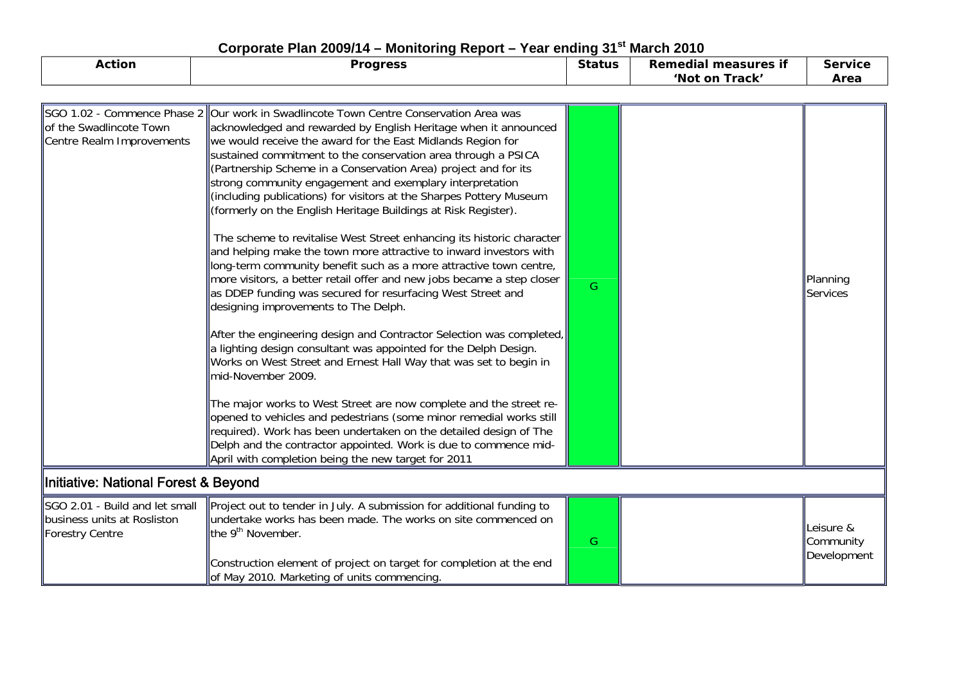| <b>Action</b>                                                                           | <b>Progress</b>                                                                                                                                                                                                                                                                                                                                                                                                                                                                                                                                                                                                                                                                                                                                                                                                                                                                                                                                                                                                                                                                                                                                                                                                                                                                                                                                                                                                                                                                                                                                              | <b>Status</b> | <b>Remedial measures if</b><br>'Not on Track' | <b>Service</b><br>Area                |  |
|-----------------------------------------------------------------------------------------|--------------------------------------------------------------------------------------------------------------------------------------------------------------------------------------------------------------------------------------------------------------------------------------------------------------------------------------------------------------------------------------------------------------------------------------------------------------------------------------------------------------------------------------------------------------------------------------------------------------------------------------------------------------------------------------------------------------------------------------------------------------------------------------------------------------------------------------------------------------------------------------------------------------------------------------------------------------------------------------------------------------------------------------------------------------------------------------------------------------------------------------------------------------------------------------------------------------------------------------------------------------------------------------------------------------------------------------------------------------------------------------------------------------------------------------------------------------------------------------------------------------------------------------------------------------|---------------|-----------------------------------------------|---------------------------------------|--|
|                                                                                         |                                                                                                                                                                                                                                                                                                                                                                                                                                                                                                                                                                                                                                                                                                                                                                                                                                                                                                                                                                                                                                                                                                                                                                                                                                                                                                                                                                                                                                                                                                                                                              |               |                                               |                                       |  |
| lof the Swadlincote Town<br>Centre Realm Improvements                                   | SGO 1.02 - Commence Phase 2   Our work in Swadlincote Town Centre Conservation Area was<br>acknowledged and rewarded by English Heritage when it announced<br>we would receive the award for the East Midlands Region for<br>sustained commitment to the conservation area through a PSICA<br>(Partnership Scheme in a Conservation Area) project and for its<br>strong community engagement and exemplary interpretation<br>(including publications) for visitors at the Sharpes Pottery Museum<br>(formerly on the English Heritage Buildings at Risk Register).<br>The scheme to revitalise West Street enhancing its historic character<br>and helping make the town more attractive to inward investors with<br>long-term community benefit such as a more attractive town centre,<br>more visitors, a better retail offer and new jobs became a step closer<br>as DDEP funding was secured for resurfacing West Street and<br>designing improvements to The Delph.<br>After the engineering design and Contractor Selection was completed,<br>a lighting design consultant was appointed for the Delph Design.<br>Works on West Street and Ernest Hall Way that was set to begin in<br>mid-November 2009.<br>The major works to West Street are now complete and the street re-<br>opened to vehicles and pedestrians (some minor remedial works still<br>required). Work has been undertaken on the detailed design of The<br>Delph and the contractor appointed. Work is due to commence mid-<br>April with completion being the new target for 2011 | G             |                                               | Planning<br>Services                  |  |
|                                                                                         | <b>Initiative: National Forest &amp; Beyond</b>                                                                                                                                                                                                                                                                                                                                                                                                                                                                                                                                                                                                                                                                                                                                                                                                                                                                                                                                                                                                                                                                                                                                                                                                                                                                                                                                                                                                                                                                                                              |               |                                               |                                       |  |
| SGO 2.01 - Build and let small<br>business units at Rosliston<br><b>Forestry Centre</b> | Project out to tender in July. A submission for additional funding to<br>undertake works has been made. The works on site commenced on<br>the 9 <sup>th</sup> November.<br>Construction element of project on target for completion at the end                                                                                                                                                                                                                                                                                                                                                                                                                                                                                                                                                                                                                                                                                                                                                                                                                                                                                                                                                                                                                                                                                                                                                                                                                                                                                                               | G             |                                               | Leisure &<br>Community<br>Development |  |

of May 2010. Marketing of units commencing.

## Corporate Plan 2009/14 - Monitoring Report - Year ending 31<sup>st</sup> March 2010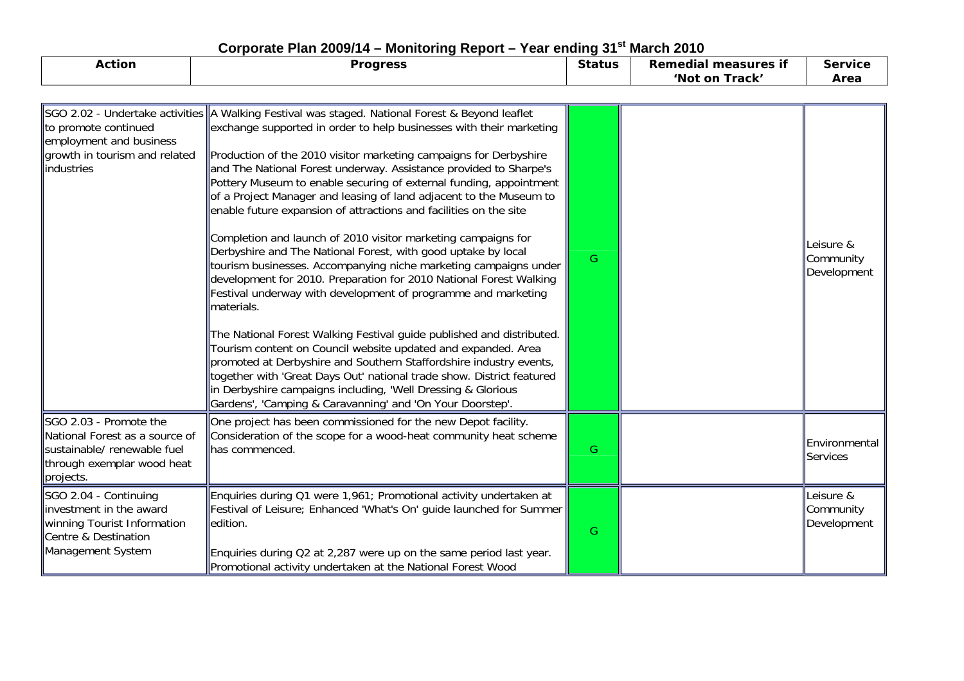| <b>Action</b>                                                                                                                      | <b>Progress</b>                                                                                                                                                                                                                                                                                                                                                                                                                                                                                                                                                                                                                                                                                                                                                               | <b>Status</b> | <b>Remedial measures if</b><br>'Not on Track' | <b>Service</b><br>Area                |
|------------------------------------------------------------------------------------------------------------------------------------|-------------------------------------------------------------------------------------------------------------------------------------------------------------------------------------------------------------------------------------------------------------------------------------------------------------------------------------------------------------------------------------------------------------------------------------------------------------------------------------------------------------------------------------------------------------------------------------------------------------------------------------------------------------------------------------------------------------------------------------------------------------------------------|---------------|-----------------------------------------------|---------------------------------------|
| SGO 2.02 - Undertake activities<br>to promote continued<br>employment and business<br>growth in tourism and related<br>industries  | A Walking Festival was staged. National Forest & Beyond leaflet<br>exchange supported in order to help businesses with their marketing<br>Production of the 2010 visitor marketing campaigns for Derbyshire<br>and The National Forest underway. Assistance provided to Sharpe's<br>Pottery Museum to enable securing of external funding, appointment<br>of a Project Manager and leasing of land adjacent to the Museum to<br>enable future expansion of attractions and facilities on the site<br>Completion and launch of 2010 visitor marketing campaigns for<br>Derbyshire and The National Forest, with good uptake by local<br>tourism businesses. Accompanying niche marketing campaigns under<br>development for 2010. Preparation for 2010 National Forest Walking | G             |                                               | Leisure &<br>Community<br>Development |
|                                                                                                                                    | Festival underway with development of programme and marketing<br>materials.<br>The National Forest Walking Festival guide published and distributed.<br>Tourism content on Council website updated and expanded. Area<br>promoted at Derbyshire and Southern Staffordshire industry events,<br>together with 'Great Days Out' national trade show. District featured<br>in Derbyshire campaigns including, 'Well Dressing & Glorious<br>Gardens', 'Camping & Caravanning' and 'On Your Doorstep'.                                                                                                                                                                                                                                                                             |               |                                               |                                       |
| SGO 2.03 - Promote the<br>National Forest as a source of<br>sustainable/ renewable fuel<br>through exemplar wood heat<br>projects. | One project has been commissioned for the new Depot facility.<br>Consideration of the scope for a wood-heat community heat scheme<br>has commenced.                                                                                                                                                                                                                                                                                                                                                                                                                                                                                                                                                                                                                           | G             |                                               | Environmental<br>Services             |
| SGO 2.04 - Continuing<br>investment in the award<br>winning Tourist Information<br>Centre & Destination<br>Management System       | Enquiries during Q1 were 1,961; Promotional activity undertaken at<br>Festival of Leisure; Enhanced 'What's On' guide launched for Summer<br>edition.<br>Enquiries during Q2 at 2,287 were up on the same period last year.<br>Promotional activity undertaken at the National Forest Wood                                                                                                                                                                                                                                                                                                                                                                                                                                                                                    | G             |                                               | Leisure &<br>Community<br>Development |

## Corporate Plan 2009/14 – Monitoring Report – Year ending 31<sup>st</sup> March 2010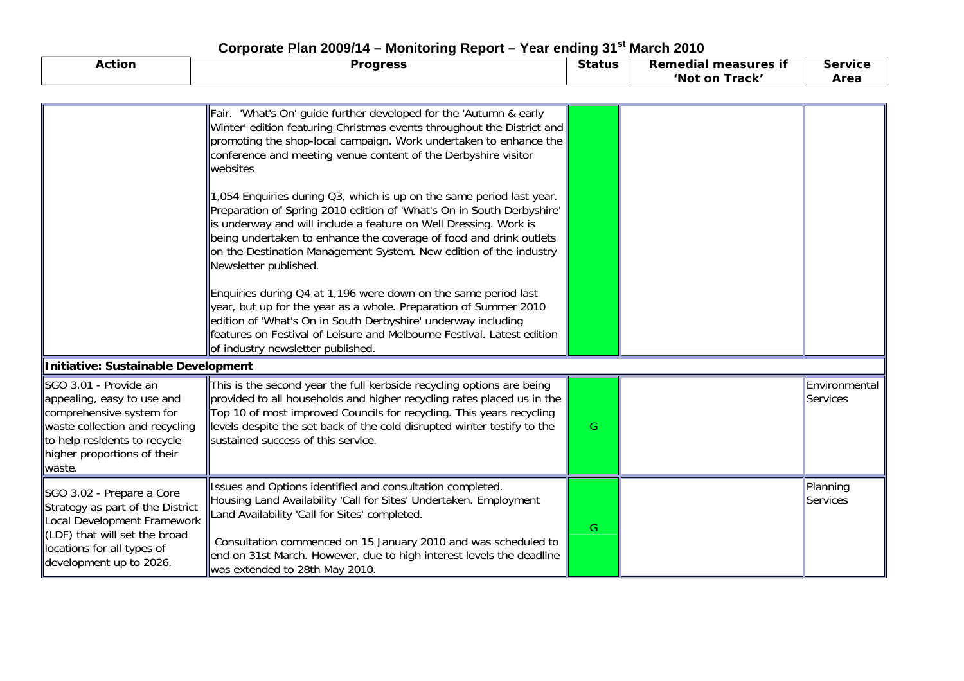| <b>Action</b>                                                                                                                                                                              | Corporate Fight 2009/14 – Monitoring Report – Tear ending 31<br><b>Progress</b>                                                                                                                                                                                                                                                                                                       | <b>Status</b> | <b>MAICH ZUIU</b><br><b>Remedial measures if</b> | <b>Service</b>            |
|--------------------------------------------------------------------------------------------------------------------------------------------------------------------------------------------|---------------------------------------------------------------------------------------------------------------------------------------------------------------------------------------------------------------------------------------------------------------------------------------------------------------------------------------------------------------------------------------|---------------|--------------------------------------------------|---------------------------|
|                                                                                                                                                                                            |                                                                                                                                                                                                                                                                                                                                                                                       |               | 'Not on Track'                                   | Area                      |
|                                                                                                                                                                                            |                                                                                                                                                                                                                                                                                                                                                                                       |               |                                                  |                           |
|                                                                                                                                                                                            | Fair. 'What's On' guide further developed for the 'Autumn & early<br>Winter' edition featuring Christmas events throughout the District and<br>promoting the shop-local campaign. Work undertaken to enhance the<br>conference and meeting venue content of the Derbyshire visitor<br>websites                                                                                        |               |                                                  |                           |
|                                                                                                                                                                                            | 1,054 Enquiries during Q3, which is up on the same period last year.<br>Preparation of Spring 2010 edition of 'What's On in South Derbyshire'<br>is underway and will include a feature on Well Dressing. Work is<br>being undertaken to enhance the coverage of food and drink outlets<br>on the Destination Management System. New edition of the industry<br>Newsletter published. |               |                                                  |                           |
|                                                                                                                                                                                            | Enquiries during Q4 at 1,196 were down on the same period last<br>year, but up for the year as a whole. Preparation of Summer 2010<br>edition of 'What's On in South Derbyshire' underway including<br>features on Festival of Leisure and Melbourne Festival. Latest edition<br>of industry newsletter published.                                                                    |               |                                                  |                           |
| <b>Initiative: Sustainable Development</b>                                                                                                                                                 |                                                                                                                                                                                                                                                                                                                                                                                       |               |                                                  |                           |
| SGO 3.01 - Provide an<br>appealing, easy to use and<br>comprehensive system for<br>waste collection and recycling<br>to help residents to recycle<br>higher proportions of their<br>waste. | This is the second year the full kerbside recycling options are being<br>provided to all households and higher recycling rates placed us in the<br>Top 10 of most improved Councils for recycling. This years recycling<br>levels despite the set back of the cold disrupted winter testify to the<br>sustained success of this service.                                              | G             |                                                  | Environmental<br>Services |
| SGO 3.02 - Prepare a Core<br>Strategy as part of the District<br>Local Development Framework<br>(LDF) that will set the broad<br>locations for all types of<br>development up to 2026.     | Issues and Options identified and consultation completed.<br>Housing Land Availability 'Call for Sites' Undertaken. Employment<br>Land Availability 'Call for Sites' completed.<br>Consultation commenced on 15 January 2010 and was scheduled to<br>end on 31st March. However, due to high interest levels the deadline<br>was extended to 28th May 2010.                           | G             |                                                  | Planning<br>Services      |

## **Corporate Plan 2009/14 – Monitoring Report – Year ending 31st March 2010**